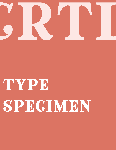

## TYPE SPECIMEN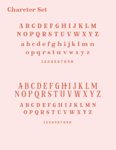Charcter Set<br>
A B C D E<br>
N O P Q R<br>
a b c d e<br>
o p g r A B C D E F G H I J K L M N O P Q R S T U V W X Y Z a b c d e f g h i j k l m n o p q r s t u v w x y z 1 2 3 4 5 6 7 8 9 0

## A B C D E F G H I J K L M N O P Q R S T U V W X Y Z a b c d e f g h i j k l m n o p q r s t u v w x y z

1 2 3 4 5 6 7 8 9 0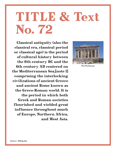## TITLE & Text No. 72

Classical antiquity (also the classical era, classical period or classical age) is the period of cultural history between the 8th century BC and the 6th century AD centered on the Mediterranean Sea,[note 1] comprising the interlocking civilizations of ancient Greece and ancient Rome known as the Greco-Roman world. It is the period in which both Greek and Roman societies flourished and wielded great influence throughout much of Europe, Northern Africa, and West Asia.



The Parthenon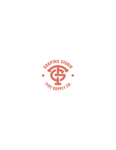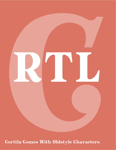

**Cortila Comes With Oldstyle Characters**